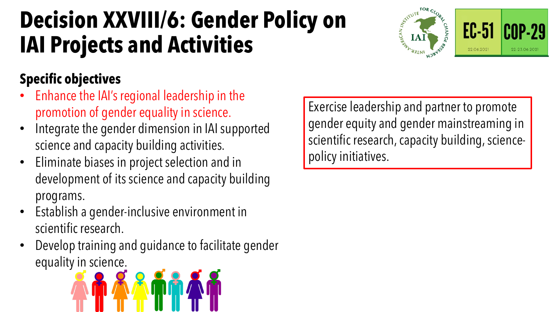

#### **Specific objectives**

- Enhance the IAI's regional leadership in the promotion of gender equality in science.
- Integrate the gender dimension in IAI supported science and capacity building activities.
- Eliminate biases in project selection and in development of its science and capacity building programs.
- Establish a gender-inclusive environment in scientific research.
- Develop training and guidance to facilitate gender equality in science.



Exercise leadership and partner to promote gender equity and gender mainstreaming in scientific research, capacity building, sciencepolicy initiatives.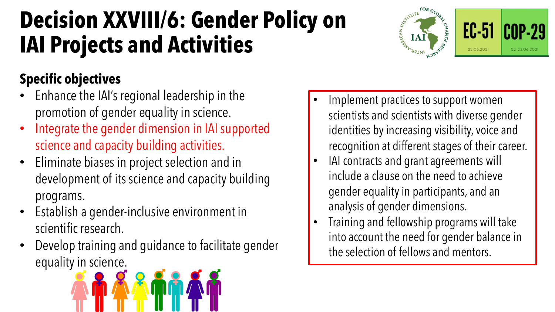



- Enhance the IAI's regional leadership in the promotion of gender equality in science.
- Integrate the gender dimension in IAI supported science and capacity building activities.
- Eliminate biases in project selection and in development of its science and capacity building programs.
- Establish a gender-inclusive environment in scientific research.
- Develop training and guidance to facilitate gender equality in science.



- IAI contracts and grant agreements will include a clause on the need to achieve gender equality in participants, and an analysis of gender dimensions.
- Training and fellowship programs will take into account the need for gender balance in the selection of fellows and mentors.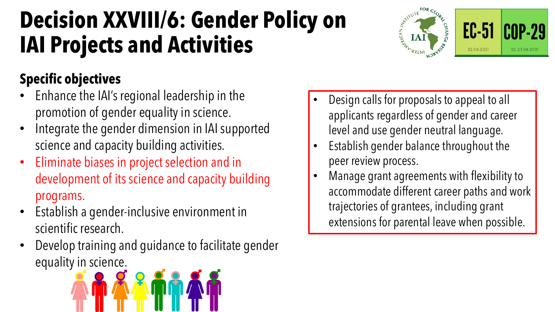



- Enhance the IAI's regional leadership in the promotion of gender equality in science.
- Integrate the gender dimension in IAI supported science and capacity building activities.
- Eliminate biases in project selection and in development of its science and capacity building programs.
- Establish a gender-inclusive environment in scientific research.
- Develop training and guidance to facilitate gender equality in science.
- Design calls for proposals to appeal to all applicants regardless of gender and career level and use gender neutral language.
- Establish gender balance throughout the peer review process.
- Manage grant agreements with flexibility to accommodate different career paths and work trajectories of grantees, including grant extensions for parental leave when possible.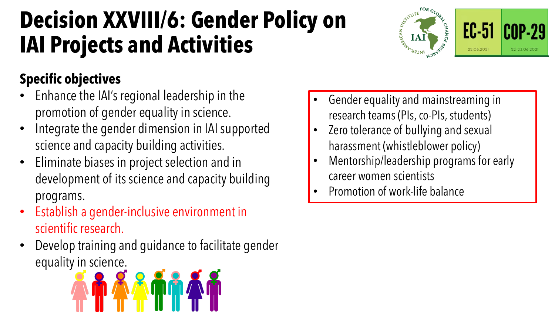



- Enhance the IAI's regional leadership in the promotion of gender equality in science.
- Integrate the gender dimension in IAI supported science and capacity building activities.
- Eliminate biases in project selection and in development of its science and capacity building programs.
- Establish a gender-inclusive environment in scientific research.
- Develop training and guidance to facilitate gender equality in science.



- Zero tolerance of bullying and sexual harassment (whistleblower policy)
- Mentorship/leadership programs for early career women scientists
- Promotion of work-life balance